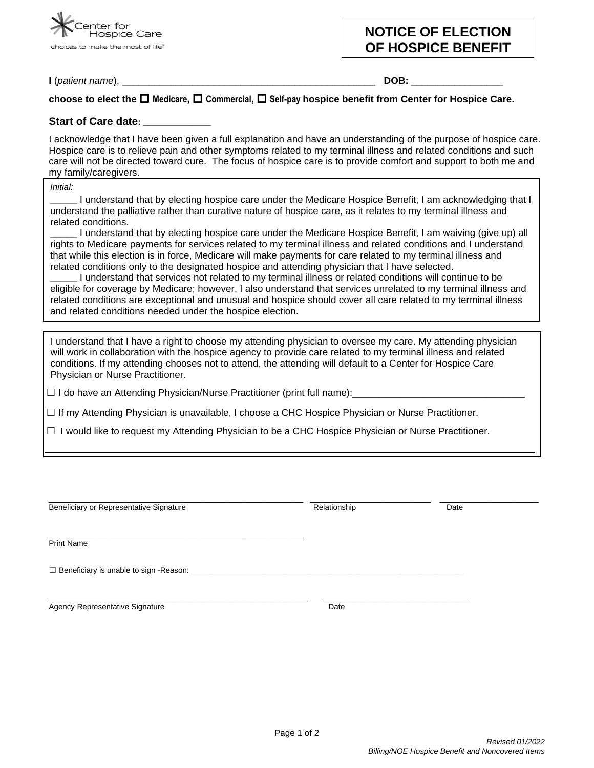

# **NOTICE OF ELECTION OF HOSPICE BENEFIT**

**I** (*patient name*), \_\_\_\_\_\_\_\_\_\_\_\_\_\_\_\_\_\_\_\_\_\_\_\_\_\_\_\_\_\_\_\_\_\_\_\_\_\_\_\_\_\_\_\_\_\_\_ **DOB:** \_\_\_\_\_\_\_\_\_\_\_\_\_\_\_\_\_

## **choose to elect the Medicare, Commercial, Self-pay hospice benefit from Center for Hospice Care.**

### **Start of Care date: \_\_\_\_\_\_\_\_\_\_\_\_\_\_**

I acknowledge that I have been given a full explanation and have an understanding of the purpose of hospice care. Hospice care is to relieve pain and other symptoms related to my terminal illness and related conditions and such care will not be directed toward cure. The focus of hospice care is to provide comfort and support to both me and my family/caregivers.

*Initial:*

**\_\_\_\_\_** I understand that by electing hospice care under the Medicare Hospice Benefit, I am acknowledging that I understand the palliative rather than curative nature of hospice care, as it relates to my terminal illness and related conditions.

\_\_\_\_\_ I understand that by electing hospice care under the Medicare Hospice Benefit, I am waiving (give up) all rights to Medicare payments for services related to my terminal illness and related conditions and I understand that while this election is in force, Medicare will make payments for care related to my terminal illness and related conditions only to the designated hospice and attending physician that I have selected.

**\_\_\_\_\_** I understand that services not related to my terminal illness or related conditions will continue to be eligible for coverage by Medicare; however, I also understand that services unrelated to my terminal illness and related conditions are exceptional and unusual and hospice should cover all care related to my terminal illness and related conditions needed under the hospice election.

I understand that I have a right to choose my attending physician to oversee my care. My attending physician will work in collaboration with the hospice agency to provide care related to my terminal illness and related conditions. If my attending chooses not to attend, the attending will default to a Center for Hospice Care Physician or Nurse Practitioner.

 $\Box$  I do have an Attending Physician/Nurse Practitioner (print full name):

 $\Box$  If my Attending Physician is unavailable, I choose a CHC Hospice Physician or Nurse Practitioner.

☐ I would like to request my Attending Physician to be a CHC Hospice Physician or Nurse Practitioner.

| Beneficiary or Representative Signature               | Relationship | Date |
|-------------------------------------------------------|--------------|------|
| <b>Print Name</b>                                     |              |      |
| $\Box$ Beneficiary is unable to sign - Reason: $\Box$ |              |      |
| Agency Representative Signature                       | Date         |      |